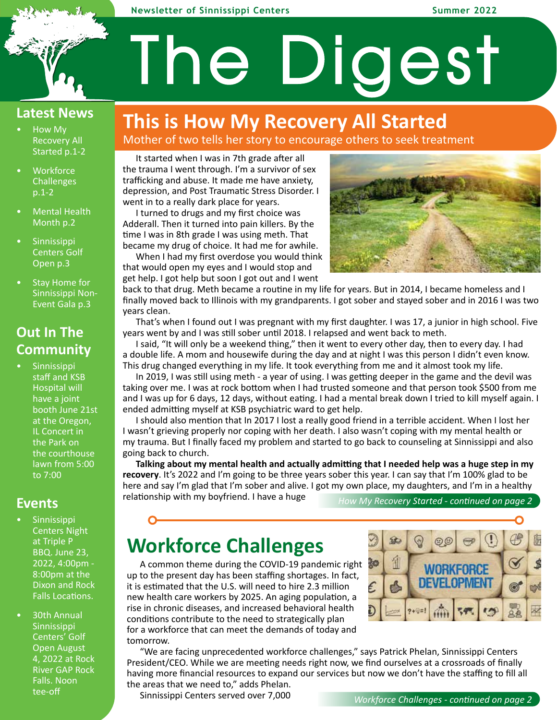### **Newsletter of Sinnissippi Centers Summer 2022**

### **Latest News**

- How My Recovery All Started p.1-2
- **Workforce Challenges** p.1-2
- Mental Health Month p.2
- Sinnissippi Centers Golf Open p.3
- Stay Home for Sinnissippi Non-Event Gala p.3

## **Out In The Community**

**Sinnissippi** staff and KSB Hospital will have a joint booth June 21st at the Oregon, IL Concert in the Park on the courthouse lawn from 5:00 to 7:00

### **Events**

- **Sinnissippi** Centers Night at Triple P BBQ. June 23, 2022, 4:00pm - 8:00pm at the Dixon and Rock Falls Locations.
- 30th Annual Sinnissippi Centers' Golf Open August 4, 2022 at Rock River GAP Rock Falls. Noon tee-off

# **This is How My Recovery All Started**

Mother of two tells her story to encourage others to seek treatment

The Digest

It started when I was in 7th grade after all the trauma I went through. I'm a survivor of sex trafficking and abuse. It made me have anxiety, depression, and Post Traumatic Stress Disorder. I went in to a really dark place for years.

I turned to drugs and my first choice was Adderall. Then it turned into pain killers. By the time I was in 8th grade I was using meth. That became my drug of choice. It had me for awhile.

When I had my first overdose you would think that would open my eyes and I would stop and get help. I got help but soon I got out and I went



back to that drug. Meth became a routine in my life for years. But in 2014, I became homeless and I finally moved back to Illinois with my grandparents. I got sober and stayed sober and in 2016 I was two years clean.

That's when I found out I was pregnant with my first daughter. I was 17, a junior in high school. Five years went by and I was still sober until 2018. I relapsed and went back to meth.

I said, "It will only be a weekend thing," then it went to every other day, then to every day. I had a double life. A mom and housewife during the day and at night I was this person I didn't even know. This drug changed everything in my life. It took everything from me and it almost took my life.

In 2019, I was still using meth - a year of using. I was getting deeper in the game and the devil was taking over me. I was at rock bottom when I had trusted someone and that person took \$500 from me and I was up for 6 days, 12 days, without eating. I had a mental break down I tried to kill myself again. I ended admitting myself at KSB psychiatric ward to get help.

I should also mention that In 2017 I lost a really good friend in a terrible accident. When I lost her I wasn't grieving properly nor coping with her death. I also wasn't coping with my mental health or my trauma. But I finally faced my problem and started to go back to counseling at Sinnissippi and also going back to church.

**Talking about my mental health and actually admitting that I needed help was a huge step in my recovery**. It's 2022 and I'm going to be three years sober this year. I can say that I'm 100% glad to be here and say I'm glad that I'm sober and alive. I got my own place, my daughters, and I'm in a healthy

relationship with my boyfriend. I have a huge

*How My Recovery Started - continued on page 2--*

## **Workforce Challenges**

A common theme during the COVID-19 pandemic right up to the present day has been staffing shortages. In fact, it is estimated that the U.S. will need to hire 2.3 million new health care workers by 2025. An aging population, a rise in chronic diseases, and increased behavioral health conditions contribute to the need to strategically plan for a workforce that can meet the demands of today and tomorrow.



"We are facing unprecedented workforce challenges," says Patrick Phelan, Sinnissippi Centers President/CEO. While we are meeting needs right now, we find ourselves at a crossroads of finally having more financial resources to expand our services but now we don't have the staffing to fill all the areas that we need to," adds Phelan.

Sinnissippi Centers served over 7,000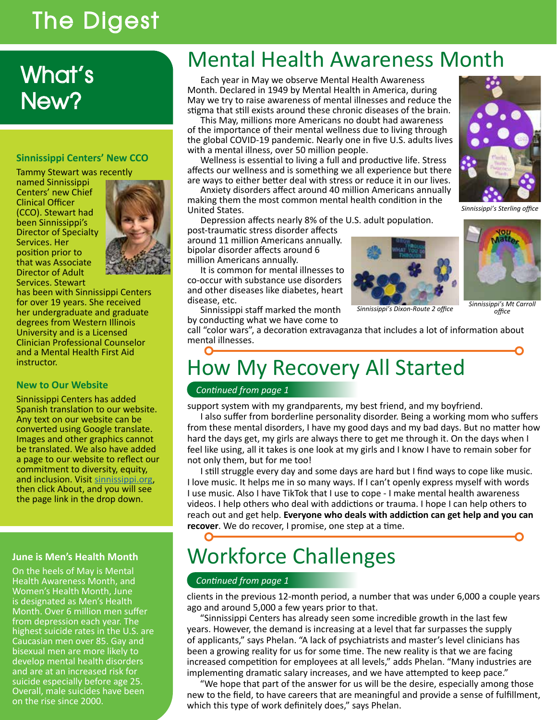# The Digest

# What's New?

### **Sinnissippi Centers' New CCO**

Tammy Stewart was recently named Sinnissippi Centers' new Chief Clinical Officer (CCO). Stewart had been Sinnissippi's Director of Specialty Services. Her position prior to that was Associate Director of Adult Services. Stewart



has been with Sinnissippi Centers for over 19 years. She received her undergraduate and graduate degrees from Western Illinois University and is a Licensed Clinician Professional Counselor and a Mental Health First Aid instructor.

### **New to Our Website**

Sinnissippi Centers has added Spanish translation to our website. Any text on our website can be converted using Google translate. Images and other graphics cannot be translated. We also have added a page to our website to reflect our commitment to diversity, equity, and inclusion. Visit sinnissippi.org,<br>then click About, and you will see the page link in the drop down.

### **June is Men's Health Month**

On the heels of May is Mental Health Awareness Month, and Women's Health Month, June is designated as Men's Health Month. Over 6 million men suffer from depression each year. The highest suicide rates in the U.S. are Caucasian men over 85. Gay and bisexual men are more likely to develop mental health disorders and are at an increased risk for suicide especially before age 25. Overall, male suicides have been on the rise since 2000.

# Mental Health Awareness Month

Each year in May we observe Mental Health Awareness Month. Declared in 1949 by Mental Health in America, during May we try to raise awareness of mental illnesses and reduce the stigma that still exists around these chronic diseases of the brain.

This May, millions more Americans no doubt had awareness of the importance of their mental wellness due to living through the global COVID-19 pandemic. Nearly one in five U.S. adults lives with a mental illness, over 50 million people.

Wellness is essential to living a full and productive life. Stress affects our wellness and is something we all experience but there are ways to either better deal with stress or reduce it in our lives.

Anxiety disorders affect around 40 million Americans annually making them the most common mental health condition in the United States.

Depression affects nearly 8% of the U.S. adult population. post-traumatic stress disorder affects

around 11 million Americans annually. bipolar disorder affects around 6 million Americans annually.

It is common for mental illnesses to co-occur with substance use disorders and other diseases like diabetes, heart disease, etc.



*Sinnissippi's Dixon-Route 2 office Sinnissippi's Mt Carroll office*

Sinnissippi staff marked the month by conducting what we have come to

call "color wars", a decoration extravaganza that includes a lot of information about mental illnesses.

## O How My Recovery All Started

### *Continued from page 1*

support system with my grandparents, my best friend, and my boyfriend.

I also suffer from borderline personality disorder. Being a working mom who suffers from these mental disorders, I have my good days and my bad days. But no matter how hard the days get, my girls are always there to get me through it. On the days when I feel like using, all it takes is one look at my girls and I know I have to remain sober for not only them, but for me too!

I still struggle every day and some days are hard but I find ways to cope like music. I love music. It helps me in so many ways. If I can't openly express myself with words I use music. Also I have TikTok that I use to cope - I make mental health awareness videos. I help others who deal with addictions or trauma. I hope I can help others to reach out and get help. **Everyone who deals with addiction can get help and you can**  recover. We do recover, I promise, one step at a time.

# Workforce Challenges

### *Continued from page 1*

clients in the previous 12-month period, a number that was under 6,000 a couple years ago and around 5,000 a few years prior to that.

"Sinnissippi Centers has already seen some incredible growth in the last few years. However, the demand is increasing at a level that far surpasses the supply of applicants," says Phelan. "A lack of psychiatrists and master's level clinicians has been a growing reality for us for some time. The new reality is that we are facing increased competition for employees at all levels," adds Phelan. "Many industries are implementing dramatic salary increases, and we have attempted to keep pace."

"We hope that part of the answer for us will be the desire, especially among those new to the field, to have careers that are meaningful and provide a sense of fulfillment, which this type of work definitely does," says Phelan.



*Sinnissippi's Sterling office*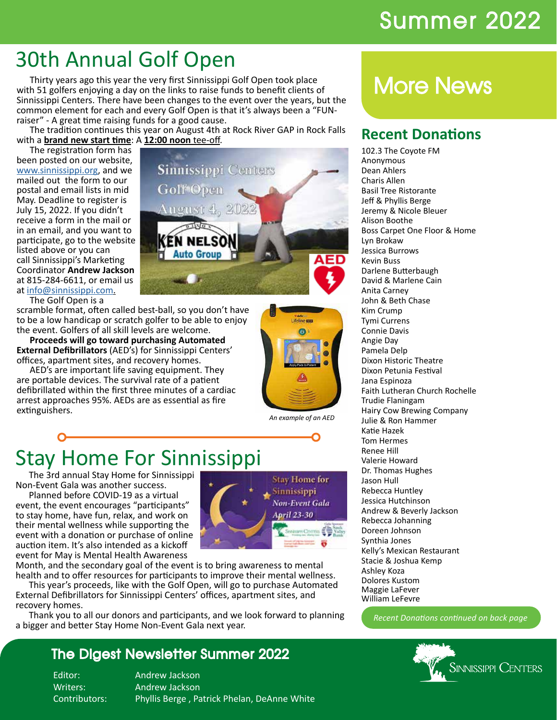# Summer 2022

# 30th Annual Golf Open

Thirty years ago this year the very first Sinnissippi Golf Open took place with 51 golfers enjoying a day on the links to raise funds to benefit clients of Sinnissippi Centers. There have been changes to the event over the years, but the common element for each and every Golf Open is that it's always been a "FUNraiser" - A great time raising funds for a good cause.

The tradition continues this year on August 4th at Rock River GAP in Rock Falls with a **brand new start time**: A **12:00 noon** tee-off.<br>The registration form has

been posted on our website, www.sinnissippi.org, and we mailed out the form to our postal and email lists in mid May. Deadline to register is July 15, 2022. If you didn't receive a form in the mail or in an email, and you want to participate, go to the website listed above or you can call Sinnissippi's Marketing Coordinator **Andrew Jackson**  at 815-284-6611, or email us at info@sinnissippi.com.



The Golf Open is a

scramble format, often called best-ball, so you don't have to be a low handicap or scratch golfer to be able to enjoy the event. Golfers of all skill levels are welcome.

**Proceeds will go toward purchasing Automated External Defibrillators** (AED's) for Sinnissippi Centers' offices, apartment sites, and recovery homes.

AED's are important life saving equipment. They are portable devices. The survival rate of a patient defibrillated within the first three minutes of a cardiac arrest approaches 95%. AEDs are as essential as fire extinguishers.



*An example of an AED*

# Stay Home For Sinnissippi

The 3rd annual Stay Home for Sinnissippi Non-Event Gala was another success.

Planned before COVID-19 as a virtual event, the event encourages "participants" to stay home, have fun, relax, and work on their mental wellness while supporting the event with a donation or purchase of online auction item. It's also intended as a kickoff event for May is Mental Health Awareness



Month, and the secondary goal of the event is to bring awareness to mental health and to offer resources for participants to improve their mental wellness.

This year's proceeds, like with the Golf Open, will go to purchase Automated External Defibrillators for Sinnissippi Centers' offices, apartment sites, and recovery homes.

Thank you to all our donors and participants, and we look forward to planning a bigger and better Stay Home Non-Event Gala next year.

## The Digest Newsletter Summer 2022

Editor: Andrew Jackson Writers: Andrew Jackson Contributors: Phyllis Berge , Patrick Phelan, DeAnne White

# More News

## **Recent Donations**

102.3 The Coyote FM Anonymous Dean Ahlers Charis Allen Basil Tree Ristorante Jeff & Phyllis Berge Jeremy & Nicole Bleuer Alison Boothe Boss Carpet One Floor & Home Lyn Brokaw Jessica Burrows Kevin Buss Darlene Butterbaugh David & Marlene Cain Anita Carney John & Beth Chase Kim Crump Tymi Currens Connie Davis Angie Day Pamela Delp Dixon Historic Theatre Dixon Petunia Festival Jana Espinoza Faith Lutheran Church Rochelle Trudie Flaningam Hairy Cow Brewing Company Julie & Ron Hammer Katie Hazek Tom Hermes Renee Hill Valerie Howard Dr. Thomas Hughes Jason Hull Rebecca Huntley Jessica Hutchinson Andrew & Beverly Jackson Rebecca Johanning Doreen Johnson Synthia Jones Kelly's Mexican Restaurant Stacie & Joshua Kemp Ashley Koza Dolores Kustom Maggie LaFever William LeFevre

*Recent Donations continued on back page*